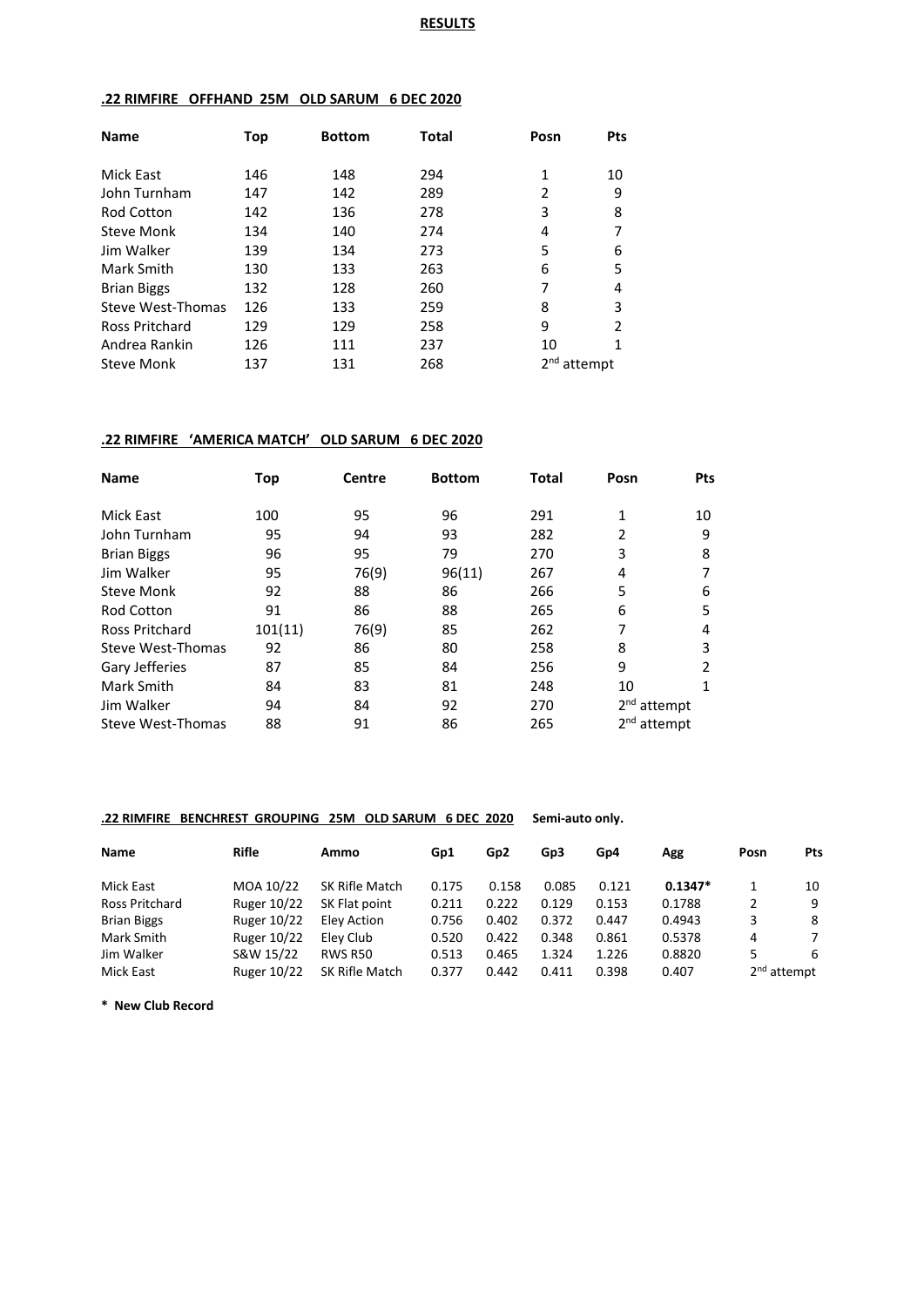# **.22 RIMFIRE OFFHAND 25M OLD SARUM 6 DEC 2020**

| <b>Name</b>        | Top | <b>Bottom</b> | Total | Posn    | Pts           |
|--------------------|-----|---------------|-------|---------|---------------|
| Mick East          | 146 | 148           | 294   | 1       | 10            |
| John Turnham       | 147 | 142           | 289   | 2       | 9             |
| <b>Rod Cotton</b>  | 142 | 136           | 278   | 3       | 8             |
| Steve Monk         | 134 | 140           | 274   | 4       |               |
| Jim Walker         | 139 | 134           | 273   | 5       | 6             |
| Mark Smith         | 130 | 133           | 263   | 6       | 5             |
| <b>Brian Biggs</b> | 132 | 128           | 260   | 7       | 4             |
| Steve West-Thomas  | 126 | 133           | 259   | 8       | 3             |
| Ross Pritchard     | 129 | 129           | 258   | 9       | $\mathcal{P}$ |
| Andrea Rankin      | 126 | 111           | 237   | 10      | 1             |
| <b>Steve Monk</b>  | 137 | 131           | 268   | attempt |               |

### **.22 RIMFIRE 'AMERICA MATCH' OLD SARUM 6 DEC 2020**

| <b>Name</b>           | Top     | <b>Centre</b> | <b>Bottom</b> | Total | Posn          | <b>Pts</b> |
|-----------------------|---------|---------------|---------------|-------|---------------|------------|
| <b>Mick East</b>      | 100     | 95            | 96            | 291   | 1             | 10         |
| John Turnham          | 95      | 94            | 93            | 282   | 2             | 9          |
| <b>Brian Biggs</b>    | 96      | 95            | 79            | 270   | 3             | 8          |
| Jim Walker            | 95      | 76(9)         | 96(11)        | 267   | 4             | 7          |
| <b>Steve Monk</b>     | 92      | 88            | 86            | 266   | 5             | 6          |
| <b>Rod Cotton</b>     | 91      | 86            | 88            | 265   | 6             | 5          |
| <b>Ross Pritchard</b> | 101(11) | 76(9)         | 85            | 262   | 7             | 4          |
| Steve West-Thomas     | 92      | 86            | 80            | 258   | 8             | 3          |
| Gary Jefferies        | 87      | 85            | 84            | 256   | 9             | 2          |
| Mark Smith            | 84      | 83            | 81            | 248   | 10            | 1          |
| Jim Walker            | 94      | 84            | 92            | 270   | $2nd$ attempt |            |
| Steve West-Thomas     | 88      | 91            | 86            | 265   | $2nd$ attempt |            |

### **.22 RIMFIRE BENCHREST GROUPING 25M OLD SARUM 6 DEC 2020 Semi-auto only.**

| Name               | <b>Rifle</b>       | Ammo           | Gp1   | Gp <sub>2</sub> | Gp3   | Gp4   | Agg       | Posn                    | Pts |
|--------------------|--------------------|----------------|-------|-----------------|-------|-------|-----------|-------------------------|-----|
| Mick East          | MOA 10/22          | SK Rifle Match | 0.175 | 0.158           | 0.085 | 0.121 | $0.1347*$ |                         | 10  |
| Ross Pritchard     | <b>Ruger 10/22</b> | SK Flat point  | 0.211 | 0.222           | 0.129 | 0.153 | 0.1788    | 2                       | 9   |
| <b>Brian Biggs</b> | <b>Ruger 10/22</b> | Elev Action    | 0.756 | 0.402           | 0.372 | 0.447 | 0.4943    | 3                       | -8  |
| Mark Smith         | <b>Ruger 10/22</b> | Elev Club      | 0.520 | 0.422           | 0.348 | 0.861 | 0.5378    | 4                       | 7   |
| Jim Walker         | S&W 15/22          | RWS R50        | 0.513 | 0.465           | 1.324 | 1.226 | 0.8820    | 5                       | -6  |
| Mick East          | <b>Ruger 10/22</b> | SK Rifle Match | 0.377 | 0.442           | 0.411 | 0.398 | 0.407     | 2 <sup>nd</sup> attempt |     |

**\* New Club Record**